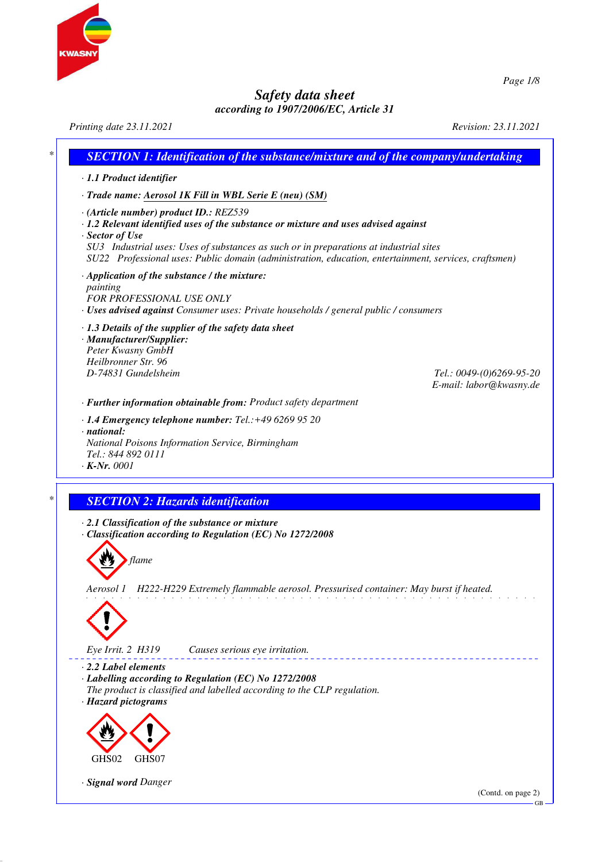

*Printing date 23.11.2021 Revision: 23.11.2021 \* SECTION 1: Identification of the substance/mixture and of the company/undertaking · 1.1 Product identifier · Trade name: Aerosol 1K Fill in WBL Serie E (neu) (SM) · (Article number) product ID.: REZ539 · 1.2 Relevant identified uses of the substance or mixture and uses advised against · Sector of Use SU3 Industrial uses: Uses of substances as such or in preparations at industrial sites SU22 Professional uses: Public domain (administration, education, entertainment, services, craftsmen) · Application of the substance / the mixture: painting FOR PROFESSIONAL USE ONLY · Uses advised against Consumer uses: Private households / general public / consumers · 1.3 Details of the supplier of the safety data sheet · Manufacturer/Supplier: Peter Kwasny GmbH Heilbronner Str. 96 D-74831 Gundelsheim Tel.: 0049-(0)6269-95-20 E-mail: labor@kwasny.de · Further information obtainable from: Product safety department · 1.4 Emergency telephone number: Tel.:+49 6269 95 20 · national: National Poisons Information Service, Birmingham Tel.: 844 892 0111 · K-Nr. 0001 \* SECTION 2: Hazards identification · 2.1 Classification of the substance or mixture · Classification according to Regulation (EC) No 1272/2008 flame Aerosol 1 H222-H229 Extremely flammable aerosol. Pressurised container: May burst if heated. Eye Irrit. 2 H319 Causes serious eye irritation.* <u>. . . . . . . .</u> *· 2.2 Label elements · Labelling according to Regulation (EC) No 1272/2008 The product is classified and labelled according to the CLP regulation. · Hazard pictograms* GHS02 GHS07 *· Signal word Danger* (Contd. on page 2) GB

*Page 1/8*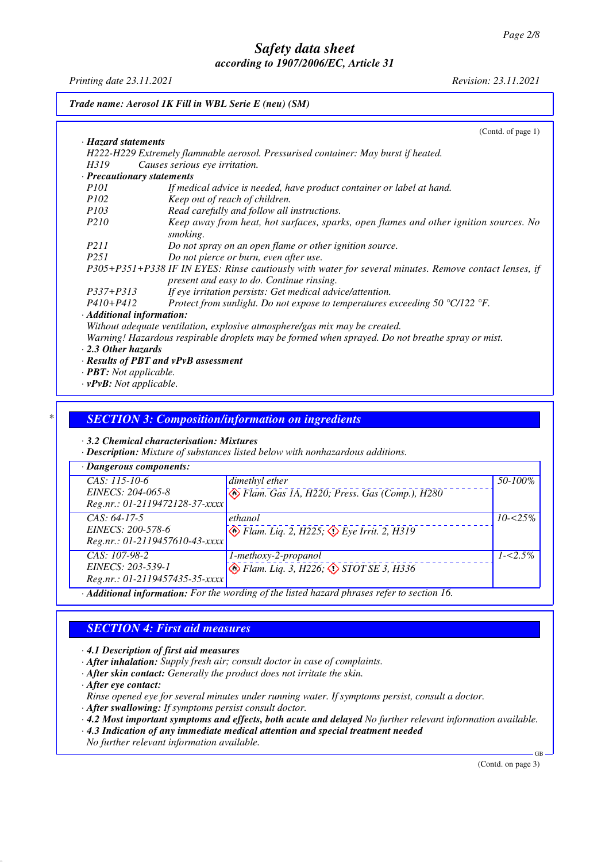*Printing date 23.11.2021 Revision: 23.11.2021*

| Trade name: Aerosol 1K Fill in WBL Serie E (neu) (SM) |                                                                                                                                                    |  |
|-------------------------------------------------------|----------------------------------------------------------------------------------------------------------------------------------------------------|--|
|                                                       | (Contd. of page 1)                                                                                                                                 |  |
| · Hazard statements                                   |                                                                                                                                                    |  |
|                                                       | H222-H229 Extremely flammable aerosol. Pressurised container: May burst if heated.                                                                 |  |
| H319                                                  | Causes serious eye irritation.                                                                                                                     |  |
| $\cdot$ Precautionary statements                      |                                                                                                                                                    |  |
| <i>P101</i>                                           | If medical advice is needed, have product container or label at hand.                                                                              |  |
| <i>P102</i>                                           | Keep out of reach of children.                                                                                                                     |  |
| <i>P103</i>                                           | Read carefully and follow all instructions.                                                                                                        |  |
| <i>P210</i>                                           | Keep away from heat, hot surfaces, sparks, open flames and other ignition sources. No<br>smoking.                                                  |  |
| P211                                                  | Do not spray on an open flame or other ignition source.                                                                                            |  |
| P251                                                  | Do not pierce or burn, even after use.                                                                                                             |  |
|                                                       | P305+P351+P338 IF IN EYES: Rinse cautiously with water for several minutes. Remove contact lenses, if<br>present and easy to do. Continue rinsing. |  |
| $P337 + P313$                                         | If eye irritation persists: Get medical advice/attention.                                                                                          |  |
| $P410 + P412$                                         | Protect from sunlight. Do not expose to temperatures exceeding 50 $\degree$ C/122 $\degree$ F.                                                     |  |
| · Additional information:                             |                                                                                                                                                    |  |
|                                                       | Without adequate ventilation, explosive atmosphere/gas mix may be created.                                                                         |  |
|                                                       | Warning! Hazardous respirable droplets may be formed when sprayed. Do not breathe spray or mist.                                                   |  |
| $\cdot$ 2.3 Other hazards                             |                                                                                                                                                    |  |
|                                                       | · Results of PBT and vPvB assessment                                                                                                               |  |
| · <b>PBT</b> : Not applicable.                        |                                                                                                                                                    |  |
| $\cdot$ vPvB: Not applicable.                         |                                                                                                                                                    |  |

#### *\* SECTION 3: Composition/information on ingredients*

*· 3.2 Chemical characterisation: Mixtures*

*· Description: Mixture of substances listed below with nonhazardous additions.*

| $\cdot$ Dangerous components:              |                                                                                                                            |             |
|--------------------------------------------|----------------------------------------------------------------------------------------------------------------------------|-------------|
| $CAS: 115-10-6$                            | dimethyl ether                                                                                                             | 50-100%     |
| EINECS: 204-065-8                          | $\Leftrightarrow$ Flam. Gas 1A, H220; Press. Gas (Comp.), H280                                                             |             |
| Reg.nr.: 01-2119472128-37-xxxx             |                                                                                                                            |             |
| $CAS: 64-17-5$                             | ethanol                                                                                                                    | $10 - 25\%$ |
| EINECS: 200-578-6                          | $\bigotimes$ Flam. Liq. 2, H225, $\bigotimes$ Eye Irrit. 2, H319                                                           |             |
| Reg.nr.: 01-2119457610-43-xxxx             |                                                                                                                            |             |
| $CAS: 107-98-2$                            | 1-methoxy-2-propanol                                                                                                       | $1 - 5\%$   |
| EINECS: 203-539-1                          | $\bullet$ Flam. Liq. 3, H226; $\bullet$ STOT SE 3, H336                                                                    |             |
| Reg.nr.: 01-2119457435-35-xxxx             |                                                                                                                            |             |
| $\mathbf{1}$ , $\mathbf{1}$ , $\mathbf{1}$ | $\cdots$<br>$\mathcal{C}$ . T $\mathcal{C}$ . T $\mathcal{C}$<br>$\mathbf{1}$<br>$\sim$ $\sim$ $\sim$ $\sim$ $\sim$ $\sim$ |             |

*· Additional information: For the wording of the listed hazard phrases refer to section 16.*

## *SECTION 4: First aid measures*

*· 4.1 Description of first aid measures*

- *· After inhalation: Supply fresh air; consult doctor in case of complaints.*
- *· After skin contact: Generally the product does not irritate the skin.*

*· After eye contact:*

- *Rinse opened eye for several minutes under running water. If symptoms persist, consult a doctor.*
- *· After swallowing: If symptoms persist consult doctor.*
- *· 4.2 Most important symptoms and effects, both acute and delayed No further relevant information available.*
- *· 4.3 Indication of any immediate medical attention and special treatment needed No further relevant information available.*

(Contd. on page 3)

GB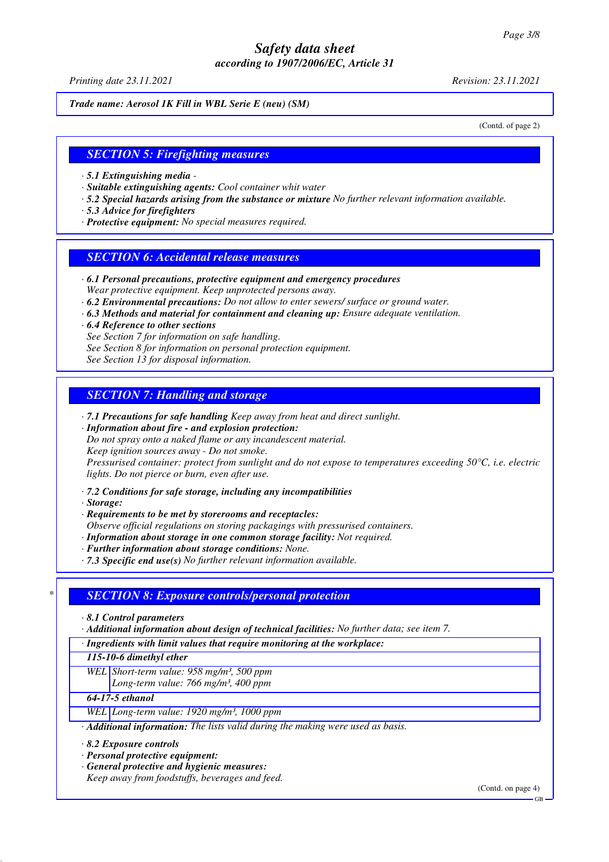*Printing date 23.11.2021 Revision: 23.11.2021*

*Trade name: Aerosol 1K Fill in WBL Serie E (neu) (SM)*

(Contd. of page 2)

#### *SECTION 5: Firefighting measures*

- *· 5.1 Extinguishing media*
- *· Suitable extinguishing agents: Cool container whit water*
- *· 5.2 Special hazards arising from the substance or mixture No further relevant information available.*
- *· 5.3 Advice for firefighters*
- *· Protective equipment: No special measures required.*

#### *SECTION 6: Accidental release measures*

- *· 6.1 Personal precautions, protective equipment and emergency procedures Wear protective equipment. Keep unprotected persons away.*
- *· 6.2 Environmental precautions: Do not allow to enter sewers/ surface or ground water.*
- *· 6.3 Methods and material for containment and cleaning up: Ensure adequate ventilation.*
- *· 6.4 Reference to other sections See Section 7 for information on safe handling. See Section 8 for information on personal protection equipment. See Section 13 for disposal information.*

# *SECTION 7: Handling and storage*

- *· 7.1 Precautions for safe handling Keep away from heat and direct sunlight.*
- *· Information about fire and explosion protection:*

*Do not spray onto a naked flame or any incandescent material.*

*Keep ignition sources away - Do not smoke.*

*Pressurised container: protect from sunlight and do not expose to temperatures exceeding 50°C, i.e. electric lights. Do not pierce or burn, even after use.*

*· 7.2 Conditions for safe storage, including any incompatibilities*

*· Storage:*

- *· Requirements to be met by storerooms and receptacles:*
- *Observe official regulations on storing packagings with pressurised containers.*
- *· Information about storage in one common storage facility: Not required.*
- *· Further information about storage conditions: None.*
- *· 7.3 Specific end use(s) No further relevant information available.*

## *\* SECTION 8: Exposure controls/personal protection*

*· 8.1 Control parameters*

*· Additional information about design of technical facilities: No further data; see item 7.*

*· Ingredients with limit values that require monitoring at the workplace:*

*115-10-6 dimethyl ether*

- *WEL Short-term value: 958 mg/m³, 500 ppm*
- *Long-term value: 766 mg/m³, 400 ppm*

*64-17-5 ethanol*

- *WEL Long-term value: 1920 mg/m³, 1000 ppm*
- *· Additional information: The lists valid during the making were used as basis.*

*· 8.2 Exposure controls*

- *· Personal protective equipment:*
- *· General protective and hygienic measures:*

*Keep away from foodstuffs, beverages and feed.*

(Contd. on page 4)

GB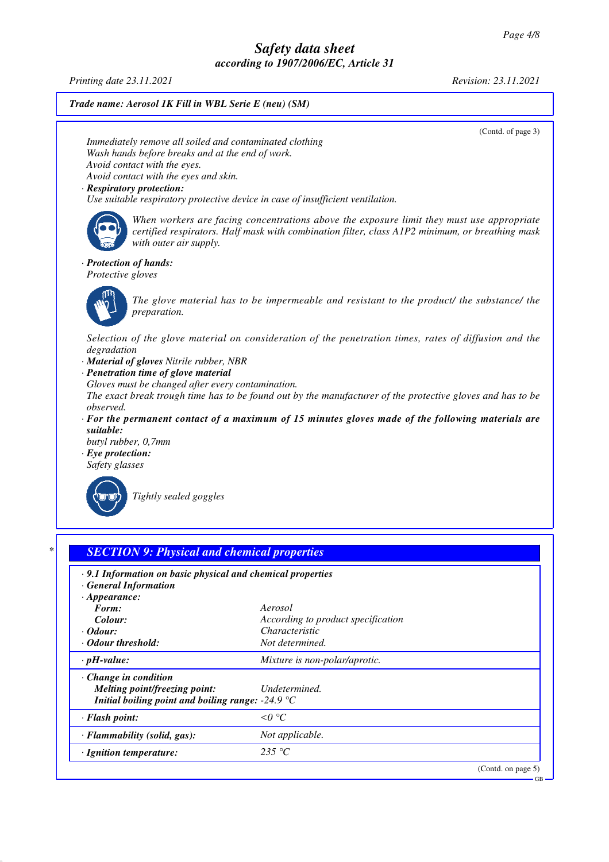*Printing date 23.11.2021 Revision: 23.11.2021*

*Trade name: Aerosol 1K Fill in WBL Serie E (neu) (SM)*

(Contd. of page 3)

GB

*Immediately remove all soiled and contaminated clothing Wash hands before breaks and at the end of work. Avoid contact with the eyes. Avoid contact with the eyes and skin.*

#### *· Respiratory protection:*

*Use suitable respiratory protective device in case of insufficient ventilation.*



*When workers are facing concentrations above the exposure limit they must use appropriate certified respirators. Half mask with combination filter, class A1P2 minimum, or breathing mask with outer air supply.*

#### *· Protection of hands:*

*Protective gloves*



*The glove material has to be impermeable and resistant to the product/ the substance/ the preparation.*

*Selection of the glove material on consideration of the penetration times, rates of diffusion and the degradation*

*· Material of gloves Nitrile rubber, NBR*

*· Penetration time of glove material*

*Gloves must be changed after every contamination.*

*The exact break trough time has to be found out by the manufacturer of the protective gloves and has to be observed.*

*· For the permanent contact of a maximum of 15 minutes gloves made of the following materials are suitable:*

*butyl rubber, 0,7mm*

*· Eye protection: Safety glasses*



*Tightly sealed goggles*

## *\* SECTION 9: Physical and chemical properties*

| $\cdot$ 9.1 Information on basic physical and chemical properties         |                                    |                       |  |
|---------------------------------------------------------------------------|------------------------------------|-----------------------|--|
| · General Information                                                     |                                    |                       |  |
| $\cdot$ Appearance:<br>Form:                                              | Aerosol                            |                       |  |
| Colour:                                                                   | According to product specification |                       |  |
| $\cdot$ Odour:                                                            | <i>Characteristic</i>              |                       |  |
| • Odour threshold:                                                        | Not determined.                    |                       |  |
| $\cdot$ pH-value:                                                         | Mixture is non-polar/aprotic.      |                       |  |
| $\cdot$ Change in condition                                               |                                    |                       |  |
| Melting point/freezing point:                                             | Undetermined.                      |                       |  |
| Initial boiling point and boiling range: $-24.9 \text{ }^{\circ}\text{C}$ |                                    |                       |  |
| $\cdot$ Flash point:                                                      | $\leq 0$ °C                        |                       |  |
| · Flammability (solid, gas):                                              | Not applicable.                    |                       |  |
| · Ignition temperature:                                                   | 235 °C                             |                       |  |
|                                                                           |                                    | (Contd. on page $5$ ) |  |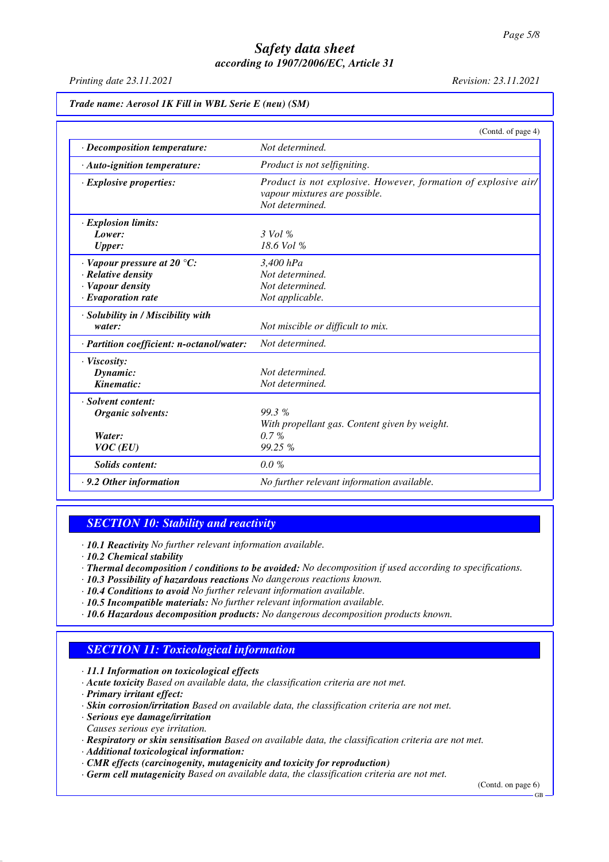*Printing date 23.11.2021 Revision: 23.11.2021*

|                                           | (Contd. of page 4)                                                                                                 |
|-------------------------------------------|--------------------------------------------------------------------------------------------------------------------|
| $\cdot$ Decomposition temperature:        | Not determined.                                                                                                    |
| · Auto-ignition temperature:              | Product is not selfigniting.                                                                                       |
| $\cdot$ Explosive properties:             | Product is not explosive. However, formation of explosive air/<br>vapour mixtures are possible.<br>Not determined. |
| · Explosion limits:                       |                                                                                                                    |
| Lower:                                    | $3$ Vol %                                                                                                          |
| <b>Upper:</b>                             | 18.6 Vol %                                                                                                         |
| $\cdot$ Vapour pressure at 20 °C:         | $3,400$ hPa                                                                                                        |
| · Relative density                        | Not determined.                                                                                                    |
| · Vapour density                          | Not determined.                                                                                                    |
| $\cdot$ Evaporation rate                  | Not applicable.                                                                                                    |
| · Solubility in / Miscibility with        |                                                                                                                    |
| water:                                    | Not miscible or difficult to mix.                                                                                  |
| · Partition coefficient: n-octanol/water: | Not determined.                                                                                                    |
| · Viscosity:                              |                                                                                                                    |
| Dynamic:                                  | Not determined.                                                                                                    |
| Kinematic:                                | Not determined.                                                                                                    |
| · Solvent content:                        |                                                                                                                    |
| Organic solvents:                         | 99.3%                                                                                                              |
|                                           | With propellant gas. Content given by weight.                                                                      |
| Water:                                    | $0.7\%$                                                                                                            |
| $VOC$ (EU)                                | 99.25 %                                                                                                            |
| <b>Solids content:</b>                    | 0.0%                                                                                                               |
| $\cdot$ 9.2 Other information             | No further relevant information available.                                                                         |

#### *SECTION 10: Stability and reactivity*

*· 10.1 Reactivity No further relevant information available.*

- *· 10.2 Chemical stability*
- *· Thermal decomposition / conditions to be avoided: No decomposition if used according to specifications.*
- *· 10.3 Possibility of hazardous reactions No dangerous reactions known.*
- *· 10.4 Conditions to avoid No further relevant information available.*
- *· 10.5 Incompatible materials: No further relevant information available.*
- *· 10.6 Hazardous decomposition products: No dangerous decomposition products known.*

## *SECTION 11: Toxicological information*

*· 11.1 Information on toxicological effects*

- *· Acute toxicity Based on available data, the classification criteria are not met.*
- *· Primary irritant effect:*
- *· Skin corrosion/irritation Based on available data, the classification criteria are not met.*
- *· Serious eye damage/irritation Causes serious eye irritation.*
- *· Respiratory or skin sensitisation Based on available data, the classification criteria are not met.*
- *· Additional toxicological information:*
- *· CMR effects (carcinogenity, mutagenicity and toxicity for reproduction)*
- *· Germ cell mutagenicity Based on available data, the classification criteria are not met.*

(Contd. on page 6)

GB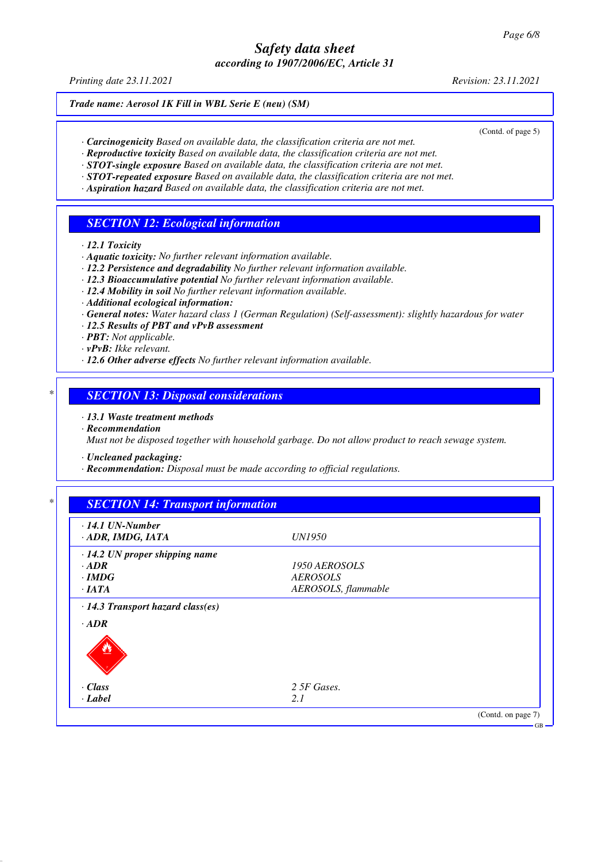*Printing date 23.11.2021 Revision: 23.11.2021*

*Trade name: Aerosol 1K Fill in WBL Serie E (neu) (SM)*

(Contd. of page 5)

- *· Carcinogenicity Based on available data, the classification criteria are not met.*
- *· Reproductive toxicity Based on available data, the classification criteria are not met.*
- *· STOT-single exposure Based on available data, the classification criteria are not met. · STOT-repeated exposure Based on available data, the classification criteria are not met.*
- *· Aspiration hazard Based on available data, the classification criteria are not met.*

# *SECTION 12: Ecological information*

*· 12.1 Toxicity*

- *· Aquatic toxicity: No further relevant information available.*
- *· 12.2 Persistence and degradability No further relevant information available.*
- *· 12.3 Bioaccumulative potential No further relevant information available.*
- *· 12.4 Mobility in soil No further relevant information available.*
- *· Additional ecological information:*
- *· General notes: Water hazard class 1 (German Regulation) (Self-assessment): slightly hazardous for water*
- *· 12.5 Results of PBT and vPvB assessment*
- *· PBT: Not applicable.*
- *· vPvB: Ikke relevant.*
- *· 12.6 Other adverse effects No further relevant information available.*

# *\* SECTION 13: Disposal considerations*

- *· 13.1 Waste treatment methods*
- *· Recommendation*

*Must not be disposed together with household garbage. Do not allow product to reach sewage system.*

- *· Uncleaned packaging:*
- *· Recommendation: Disposal must be made according to official regulations.*

| $\cdot$ 14.1 UN-Number               |                     |  |
|--------------------------------------|---------------------|--|
| · ADR, IMDG, IATA                    | <i>UN1950</i>       |  |
| $\cdot$ 14.2 UN proper shipping name |                     |  |
| $\cdot$ ADR                          | 1950 AEROSOLS       |  |
| $\cdot$ IMDG                         | <b>AEROSOLS</b>     |  |
| $\cdot$ IATA                         | AEROSOLS, flammable |  |
|                                      |                     |  |
| $\cdot$ Class                        | 2 5F Gases.         |  |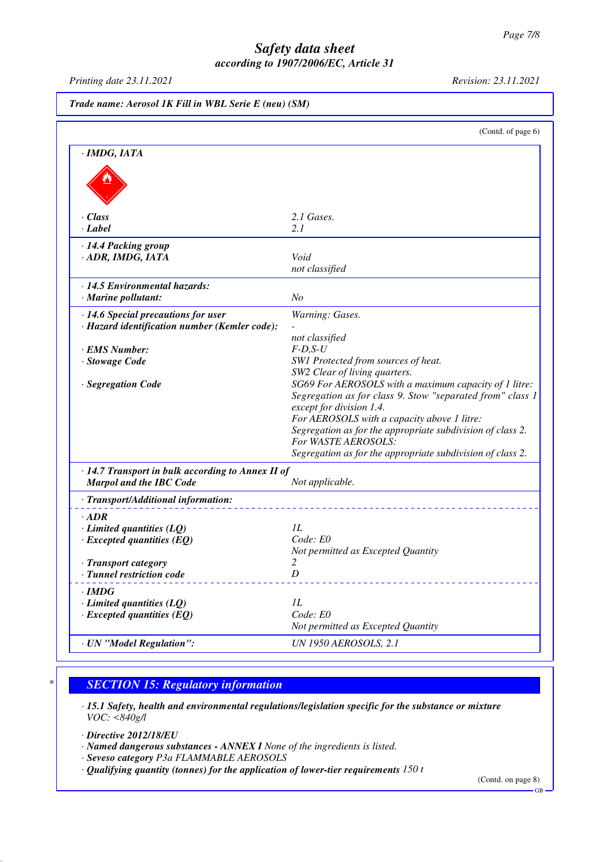*Printing date 23.11.2021 Revision: 23.11.2021*

|                                                                                      | (Contd. of page 6)                                         |
|--------------------------------------------------------------------------------------|------------------------------------------------------------|
|                                                                                      |                                                            |
| · IMDG, IATA                                                                         |                                                            |
|                                                                                      |                                                            |
|                                                                                      |                                                            |
|                                                                                      |                                                            |
| $\cdot$ Class                                                                        | 2.1 Gases.                                                 |
| $\cdot$ Label                                                                        | 2.1                                                        |
| · 14.4 Packing group                                                                 |                                                            |
| · ADR, IMDG, IATA                                                                    | Void                                                       |
|                                                                                      | not classified                                             |
| · 14.5 Environmental hazards:                                                        |                                                            |
| · Marine pollutant:                                                                  | N <sub>O</sub>                                             |
|                                                                                      |                                                            |
| · 14.6 Special precautions for user<br>· Hazard identification number (Kemler code): | Warning: Gases.                                            |
|                                                                                      | not classified                                             |
| · EMS Number:                                                                        | $F-D, S-U$                                                 |
| · Stowage Code                                                                       | SW1 Protected from sources of heat.                        |
|                                                                                      | SW2 Clear of living quarters.                              |
| · Segregation Code                                                                   | SG69 For AEROSOLS with a maximum capacity of 1 litre:      |
|                                                                                      | Segregation as for class 9. Stow "separated from" class 1  |
|                                                                                      | except for division 1.4.                                   |
|                                                                                      | For AEROSOLS with a capacity above 1 litre:                |
|                                                                                      | Segregation as for the appropriate subdivision of class 2. |
|                                                                                      | For WASTE AEROSOLS:                                        |
|                                                                                      | Segregation as for the appropriate subdivision of class 2. |
| · 14.7 Transport in bulk according to Annex II of                                    |                                                            |
| <b>Marpol and the IBC Code</b>                                                       | Not applicable.                                            |
| · Transport/Additional information:                                                  |                                                            |
| $\cdot$ ADR                                                                          |                                                            |
| $\cdot$ Limited quantities (LQ)                                                      | IL                                                         |
| $\cdot$ Excepted quantities (EQ)                                                     | Code: E0                                                   |
|                                                                                      | Not permitted as Excepted Quantity                         |
| <b>Transport category</b>                                                            | 2                                                          |
| · Tunnel restriction code                                                            | D                                                          |
| $\cdot$ IMDG                                                                         |                                                            |
| $\cdot$ Limited quantities (LQ)                                                      | IL                                                         |
| $\cdot$ Excepted quantities (EQ)                                                     | Code: E0                                                   |
|                                                                                      | Not permitted as Excepted Quantity                         |
|                                                                                      |                                                            |

## *\* SECTION 15: Regulatory information*

*· 15.1 Safety, health and environmental regulations/legislation specific for the substance or mixture VOC: <840g/l*

*· Directive 2012/18/EU*

- *· Named dangerous substances ANNEX I None of the ingredients is listed.*
- *· Seveso category P3a FLAMMABLE AEROSOLS*
- *· Qualifying quantity (tonnes) for the application of lower-tier requirements 150 t*

(Contd. on page 8)